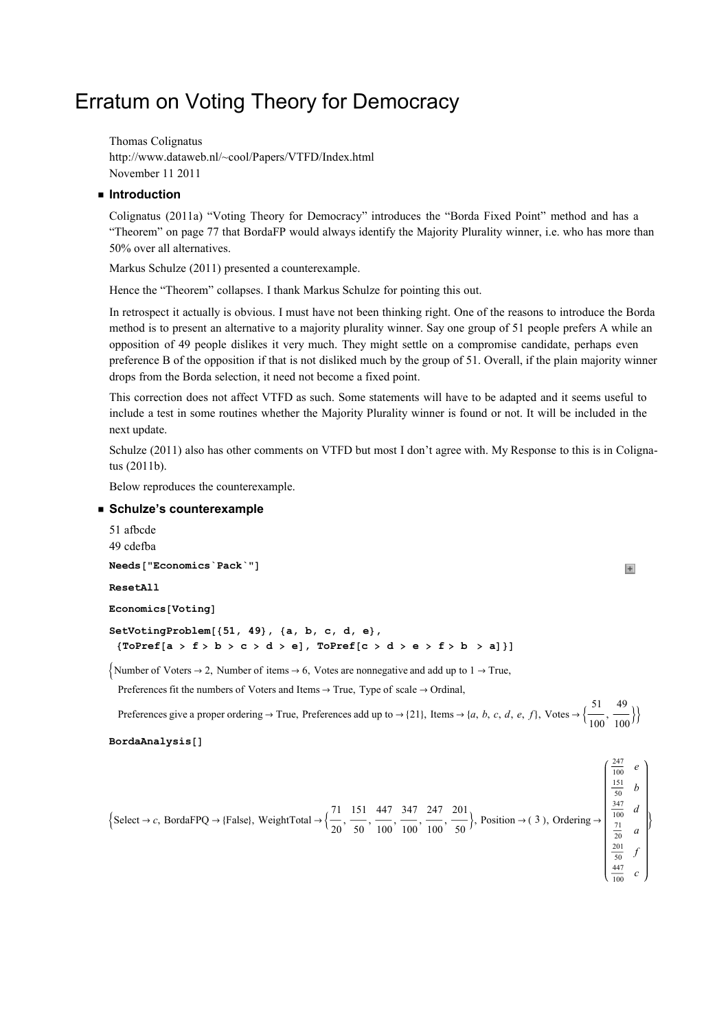# Erratum on Voting Theory for Democracy

Thomas Colignatus http://www.dataweb.nl/~cool/Papers/VTFD/Index.html November 11 2011

## **u** Introduction

Colignatus (2011a) "Voting Theory for Democracy" introduces the "Borda Fixed Point" method and has a "Theorem" on page 77 that BordaFP would always identify the Majority Plurality winner, i.e. who has more than 50% over all alternatives.

Markus Schulze (2011) presented a counterexample.

Hence the "Theorem" collapses. I thank Markus Schulze for pointing this out.

In retrospect it actually is obvious. I must have not been thinking right. One of the reasons to introduce the Borda method is to present an alternative to a majority plurality winner. Say one group of 51 people prefers A while an opposition of 49 people dislikes it very much. They might settle on a compromise candidate, perhaps even preference B of the opposition if that is not disliked much by the group of 51. Overall, if the plain majority winner drops from the Borda selection, it need not become a fixed point.

This correction does not affect VTFD as such. Some statements will have to be adapted and it seems useful to include a test in some routines whether the Majority Plurality winner is found or not. It will be included in the next update.

Schulze (2011) also has other comments on VTFD but most I don't agree with. My Response to this is in Colignatus (2011b).

Below reproduces the counterexample.

#### ■ Schulze's counterexample

```
51 afbcde 
49 cdefba 
Needs["Economics`Pack`"]
ResetAll
Economics [Voting]
SetVotingProblem[51, 49, 6, 6, 6, 6, 6],
  \{ToPref[a > f > b > c > d > e], ToPref[c > d > e > f > b > a]\}]\{Number\} Number of Voters \rightarrow 2, Number of items \rightarrow 6, Votes are nonnegative and add up to 1 \rightarrow True,
  Preferences fit the numbers of Voters and Items \rightarrow True, Type of scale \rightarrow Ordinal,
  Preferences give a proper ordering \rightarrow True, Preferences add up to \rightarrow {21}, Items \rightarrow {a, b, c, d, e, f}, Votes \rightarrow {\frac{51}{\cdots}}
                                                                                                                       100
                                                                                                                           ,
BordaAnalysis[]
```

$$
\left\{\text{Select} \rightarrow c, \text{BordaFPQ} \rightarrow \{\text{False}\}, \text{WeightTotal} \rightarrow \left\{\frac{71}{20}, \frac{151}{50}, \frac{447}{100}, \frac{347}{100}, \frac{247}{100}, \frac{201}{50}\right\}, \text{Position} \rightarrow (3), \text{Ordering} \rightarrow \begin{bmatrix} \frac{247}{100} & e \\ \frac{151}{50} & b \\ \frac{347}{100} & d \\ \frac{201}{20} & a \\ \frac{201}{50} & f \\ \frac{447}{100} & c \end{bmatrix} \right\}
$$

49  $\frac{1}{100}$ }

 $\begin{array}{c} \hline \end{array}$ 

 $247$